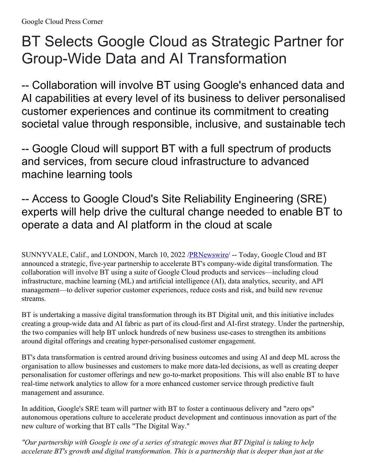## BT Selects Google Cloud as Strategic Partner for Group-Wide Data and AI Transformation

-- Collaboration will involve BT using Google's enhanced data and AI capabilities at every level of its business to deliver personalised customer experiences and continue its commitment to creating societal value through responsible, inclusive, and sustainable tech

-- Google Cloud will support BT with a full spectrum of products and services, from secure cloud infrastructure to advanced machine learning tools

-- Access to Google Cloud's Site Reliability Engineering (SRE) experts will help drive the cultural change needed to enable BT to operate a data and AI platform in the cloud at scale

SUNNYVALE, Calif., and LONDON, March 10, 2022 /**PRNewswire/** -- Today, Google Cloud and BT announced a strategic, five-year partnership to accelerate BT's company-wide digital transformation. The collaboration will involve BT using a suite of Google Cloud products and services—including cloud infrastructure, machine learning (ML) and artificial intelligence (AI), data analytics, security, and API management—to deliver superior customer experiences, reduce costs and risk, and build new revenue streams.

BT is undertaking a massive digital transformation through its BT Digital unit, and this initiative includes creating a group-wide data and AI fabric as part of its cloud-first and AI-first strategy. Under the partnership, the two companies will help BT unlock hundreds of new business use-cases to strengthen its ambitions around digital offerings and creating hyper-personalised customer engagement.

BT's data transformation is centred around driving business outcomes and using AI and deep ML across the organisation to allow businesses and customers to make more data-led decisions, as well as creating deeper personalisation for customer offerings and new go-to-market propositions. This will also enable BT to have real-time network analytics to allow for a more enhanced customer service through predictive fault management and assurance.

In addition, Google's SRE team will partner with BT to foster a continuous delivery and "zero ops" autonomous operations culture to accelerate product development and continuous innovation as part of the new culture of working that BT calls "The Digital Way."

"Our partnership with Google is one of a series of strategic moves that BT Digital is taking to help *accelerate BT's growth and digital transformation. This is a partnership that is deeper than just at the*